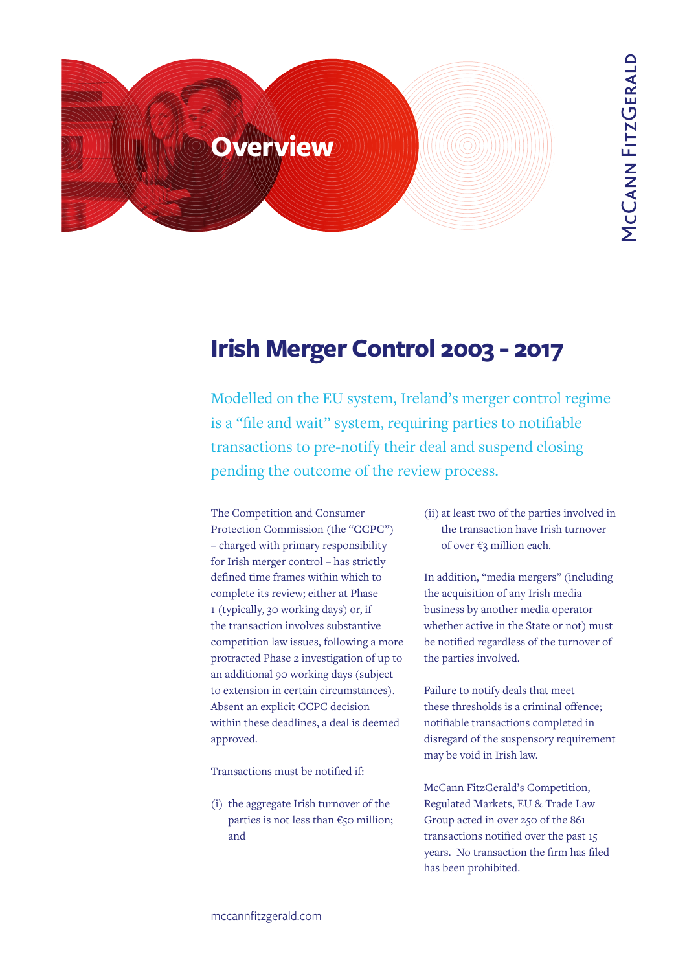

# **Irish Merger Control 2003 - 2017**

Modelled on the EU system, Ireland's merger control regime is a "file and wait" system, requiring parties to notifiable transactions to pre-notify their deal and suspend closing pending the outcome of the review process.

The Competition and Consumer Protection Commission (the "**CCPC**") – charged with primary responsibility for Irish merger control – has strictly defined time frames within which to complete its review; either at Phase 1 (typically, 30 working days) or, if the transaction involves substantive competition law issues, following a more protracted Phase 2 investigation of up to an additional 90 working days (subject to extension in certain circumstances). Absent an explicit CCPC decision within these deadlines, a deal is deemed approved.

Transactions must be notified if:

(i) the aggregate Irish turnover of the parties is not less than  $\epsilon$ 50 million; and

(ii) at least two of the parties involved in the transaction have Irish turnover of over €3 million each.

In addition, "media mergers" (including the acquisition of any Irish media business by another media operator whether active in the State or not) must be notified regardless of the turnover of the parties involved.

Failure to notify deals that meet these thresholds is a criminal offence; notifiable transactions completed in disregard of the suspensory requirement may be void in Irish law.

McCann FitzGerald's Competition, Regulated Markets, EU & Trade Law Group acted in over 250 of the 861 transactions notified over the past 15 years. No transaction the firm has filed has been prohibited.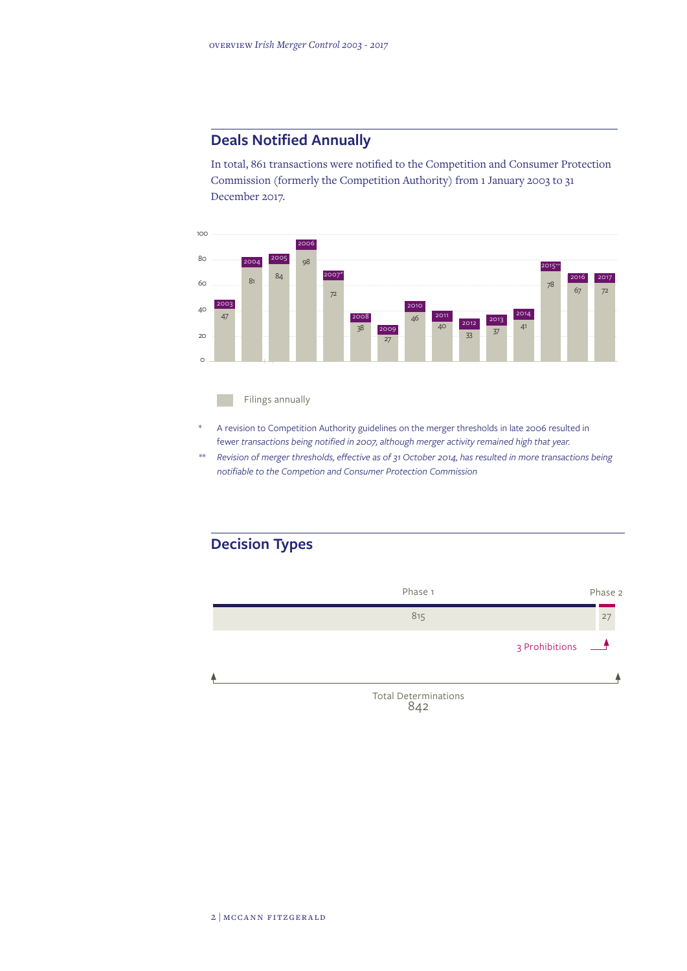## **Deals Notified Annually**

In total, 861 transactions were notified to the Competition and Consumer Protection Commission (formerly the Competition Authority) from 1 January 2003 to 31 December 2017.



#### Filings annually

- A revision to Competition Authority guidelines on the merger thresholds in late 2006 resulted in fewer *transactions being notified in 2007, although merger activity remained high that year.*
- *\*\* Revision of merger thresholds, effective as of 31 October 2014, has resulted in more transactions being notifiable to the Competion and Consumer Protection Commission*

# **Decision Types**

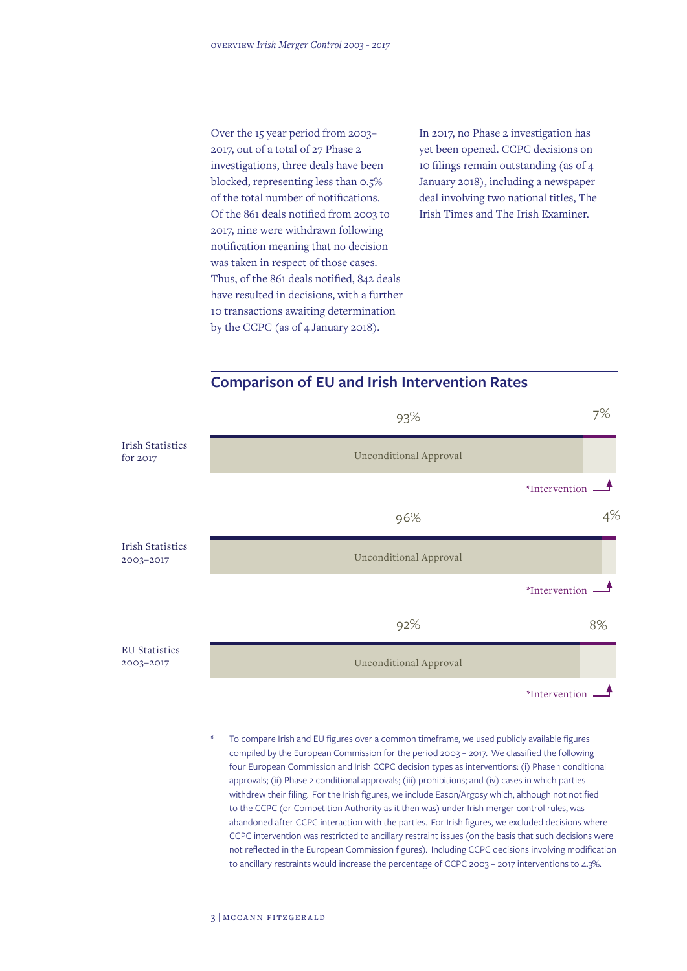Over the 15 year period from 2003– 2017, out of a total of 27 Phase 2 investigations, three deals have been blocked, representing less than 0.5% of the total number of notifications. Of the 861 deals notified from 2003 to 2017, nine were withdrawn following notification meaning that no decision was taken in respect of those cases. Thus, of the 861 deals notified, 842 deals have resulted in decisions, with a further 10 transactions awaiting determination by the CCPC (as of 4 January 2018).

In 2017, no Phase 2 investigation has yet been opened. CCPC decisions on 10 filings remain outstanding (as of 4 January 2018), including a newspaper deal involving two national titles, The Irish Times and The Irish Examiner.





To compare Irish and EU figures over a common timeframe, we used publicly available figures compiled by the European Commission for the period 2003 – 2017. We classified the following four European Commission and Irish CCPC decision types as interventions: (i) Phase 1 conditional approvals; (ii) Phase 2 conditional approvals; (iii) prohibitions; and (iv) cases in which parties withdrew their filing. For the Irish figures, we include Eason/Argosy which, although not notified to the CCPC (or Competition Authority as it then was) under Irish merger control rules, was abandoned after CCPC interaction with the parties. For Irish figures, we excluded decisions where CCPC intervention was restricted to ancillary restraint issues (on the basis that such decisions were not reflected in the European Commission figures). Including CCPC decisions involving modification to ancillary restraints would increase the percentage of CCPC 2003 – 2017 interventions to 4.3%.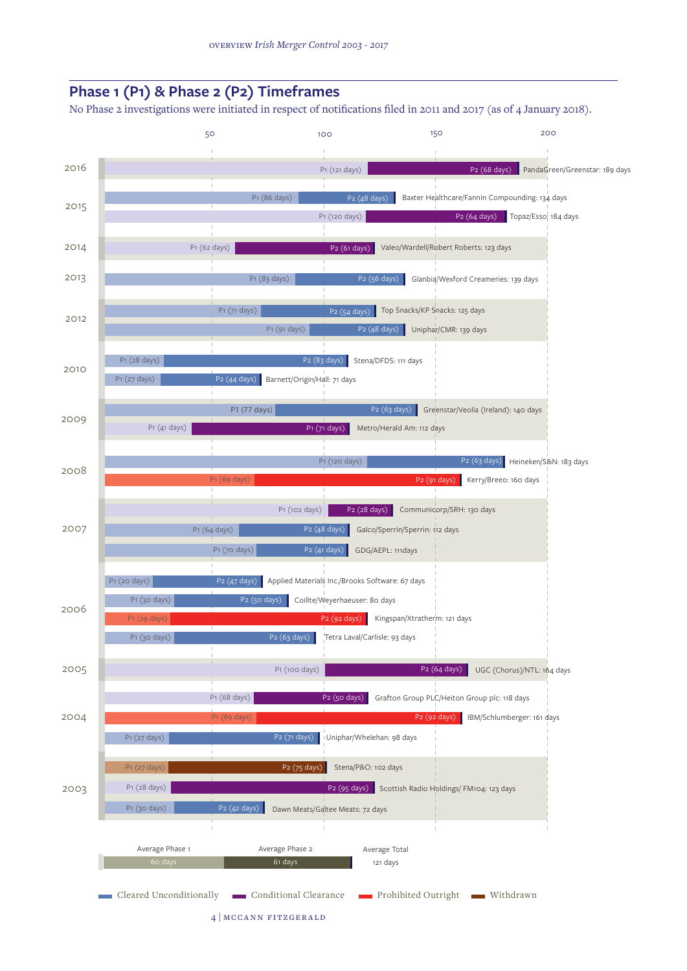

4 | mccann fitzgerald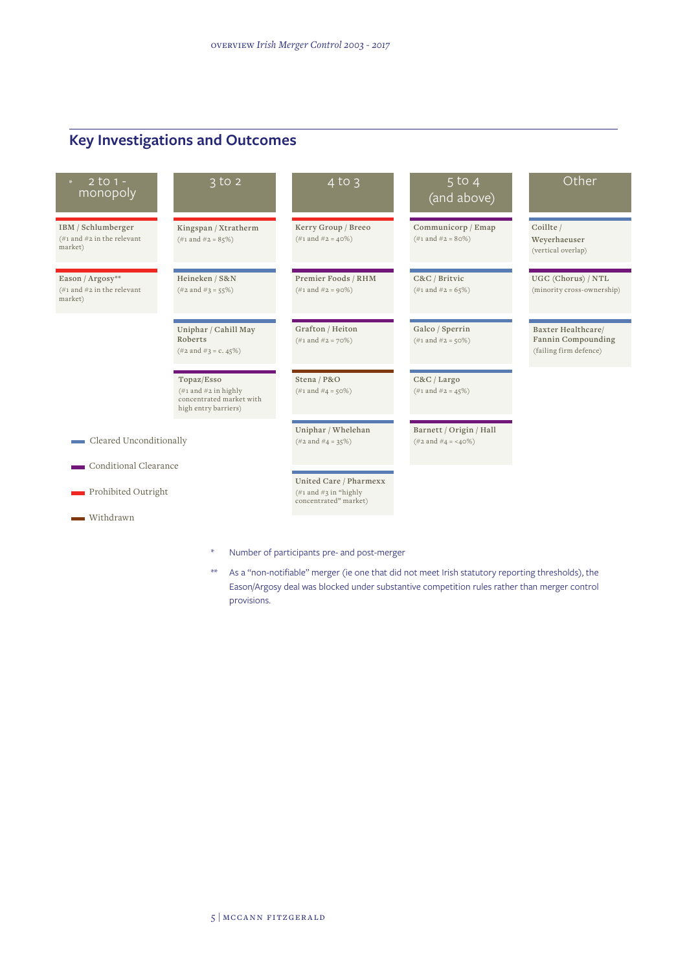# **Key Investigations and Outcomes**

| $2$ to 1 -<br>monopoly                                                            | $\overline{3}$ to $\overline{2}$                                                                             | $4$ to $3$                                                                                     | $5$ to $4$<br>(and above)                                  | Other                                                              |
|-----------------------------------------------------------------------------------|--------------------------------------------------------------------------------------------------------------|------------------------------------------------------------------------------------------------|------------------------------------------------------------|--------------------------------------------------------------------|
| IBM / Schlumberger<br>$(\#1 \text{ and } \#2 \text{ in the relevant})$<br>market) | Kingspan / Xtratherm<br>$(\#1 \text{ and } \#2 = 85\%)$                                                      | Kerry Group / Breeo<br>$(\#1 \text{ and } \#2 = 40\%)$                                         | Communicorp / Emap<br>$(\#1 \text{ and } \#2 = 80\%)$      | Coillte /<br>Weyerhaeuser<br>(vertical overlap)                    |
| Eason / Argosy**<br>(#1 and #2 in the relevant<br>market)                         | Heineken / S&N<br>$(\#2 \text{ and } \#3 = 55\%)$                                                            | Premier Foods / RHM<br>$(\#1 \text{ and } \#2 = 90\%)$                                         | C&C / Britvic<br>$(\#1 \text{ and } \#2 = 65\%)$           | UGC (Chorus) / NTL<br>(minority cross-ownership)                   |
|                                                                                   | Uniphar / Cahill May<br>Roberts<br>$(\#2 \text{ and } \#3 = c. 45\%)$                                        | Grafton / Heiton<br>$(\#1 \text{ and } \#2 = 70\%)$                                            | Galco / Sperrin<br>$(\#1 \text{ and } \#2 = 50\%)$         | Baxter Healthcare/<br>Fannin Compounding<br>(failing firm defence) |
|                                                                                   | Topaz/Esso<br>$(\#1 \text{ and } \#2 \text{ in highly})$<br>concentrated market with<br>high entry barriers) | Stena / P&O<br>$(\#1 \text{ and } \#4 = 50\%)$                                                 | C&C/Largo<br>$(\#1 \text{ and } \#2 = 45\%)$               |                                                                    |
| Cleared Unconditionally                                                           |                                                                                                              | Uniphar / Whelehan<br>$(\#2 \text{ and } \#4 = 35\%)$                                          | Barnett / Origin / Hall<br>$(\#2 \text{ and } \#4 = 40\%)$ |                                                                    |
| Conditional Clearance                                                             |                                                                                                              |                                                                                                |                                                            |                                                                    |
| Prohibited Outright                                                               |                                                                                                              | United Care / Pharmexx<br>$(\#1 \text{ and } \#3 \text{ in "highly})$<br>concentrated" market) |                                                            |                                                                    |
| Withdrawn                                                                         |                                                                                                              |                                                                                                |                                                            |                                                                    |
|                                                                                   | $\ast$                                                                                                       | Number of participants pre- and post-merger                                                    |                                                            |                                                                    |

\*\* As a "non-notifiable" merger (ie one that did not meet Irish statutory reporting thresholds), the Eason/Argosy deal was blocked under substantive competition rules rather than merger control provisions.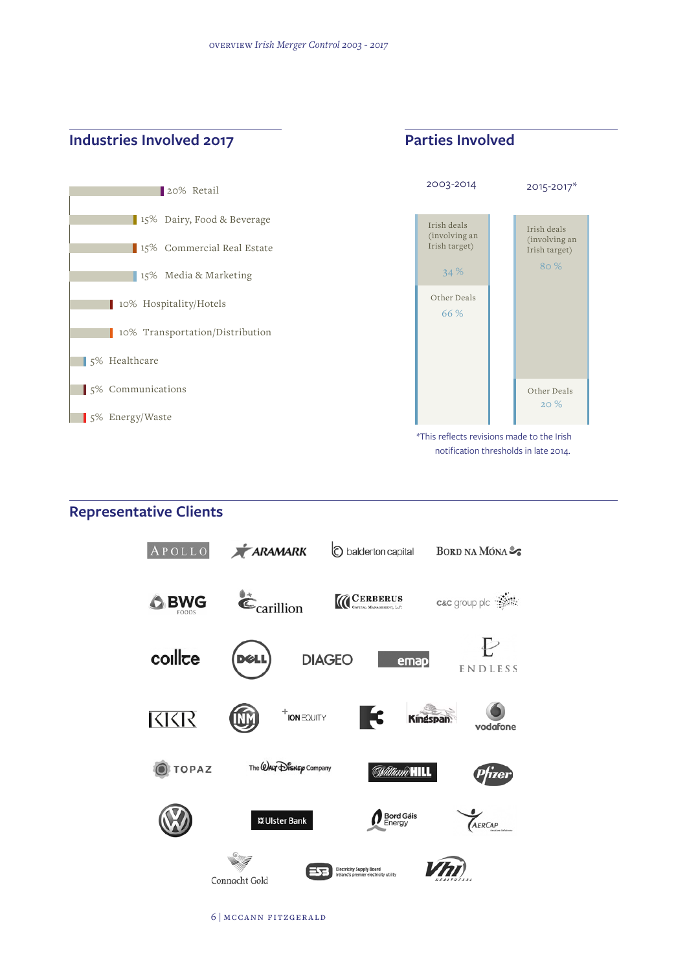## **Industries Involved 2017 Parties Involved**



# **Representative Clients**



6 | mccann fitzgerald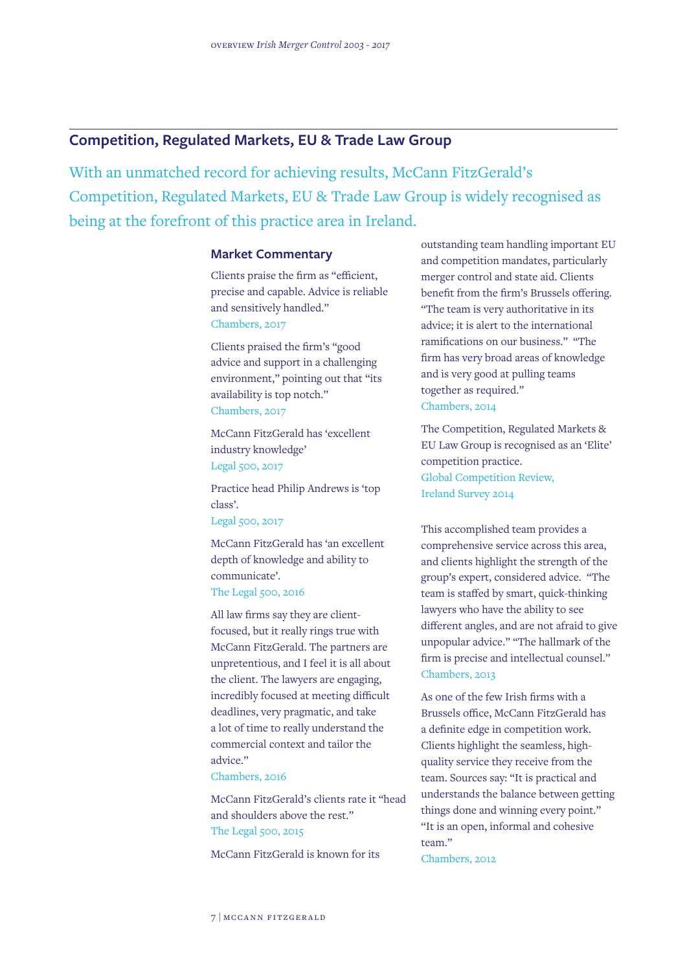#### **Competition, Regulated Markets, EU & Trade Law Group**

With an unmatched record for achieving results, McCann FitzGerald's Competition, Regulated Markets, EU & Trade Law Group is widely recognised as being at the forefront of this practice area in Ireland.

#### **Market Commentary**

Clients praise the firm as "efficient, precise and capable. Advice is reliable and sensitively handled." Chambers, 2017

Clients praised the firm's "good advice and support in a challenging environment," pointing out that "its availability is top notch." Chambers, 2017

McCann FitzGerald has 'excellent industry knowledge' Legal 500, 2017

Practice head Philip Andrews is 'top class'.

Legal 500, 2017

McCann FitzGerald has 'an excellent depth of knowledge and ability to communicate'. The Legal 500, 2016

All law firms say they are clientfocused, but it really rings true with McCann FitzGerald. The partners are unpretentious, and I feel it is all about the client. The lawyers are engaging, incredibly focused at meeting difficult deadlines, very pragmatic, and take a lot of time to really understand the commercial context and tailor the advice."

Chambers, 2016

McCann FitzGerald's clients rate it "head and shoulders above the rest." The Legal 500, 2015

McCann FitzGerald is known for its

outstanding team handling important EU and competition mandates, particularly merger control and state aid. Clients benefit from the firm's Brussels offering. "The team is very authoritative in its advice; it is alert to the international ramifications on our business." "The firm has very broad areas of knowledge and is very good at pulling teams together as required." Chambers, 2014

The Competition, Regulated Markets & EU Law Group is recognised as an 'Elite' competition practice. Global Competition Review, Ireland Survey 2014

This accomplished team provides a comprehensive service across this area, and clients highlight the strength of the group's expert, considered advice. "The team is staffed by smart, quick-thinking lawyers who have the ability to see different angles, and are not afraid to give unpopular advice." "The hallmark of the firm is precise and intellectual counsel." Chambers, 2013

As one of the few Irish firms with a Brussels office, McCann FitzGerald has a definite edge in competition work. Clients highlight the seamless, highquality service they receive from the team. Sources say: "It is practical and understands the balance between getting things done and winning every point." "It is an open, informal and cohesive team." Chambers, 2012